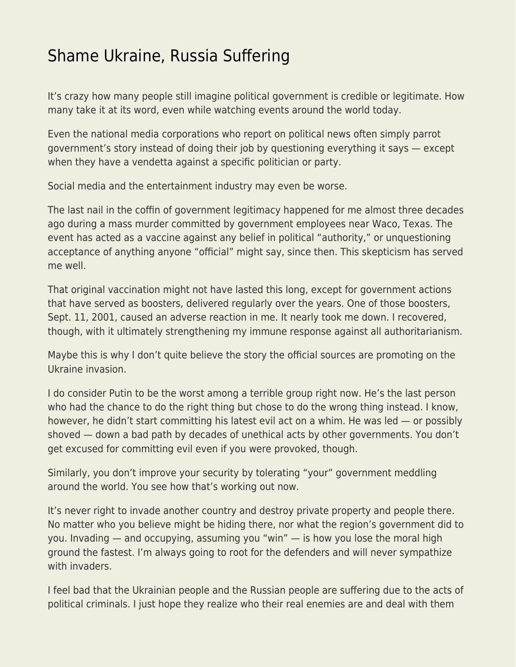## [Shame Ukraine, Russia Suffering](https://everything-voluntary.com/shame-ukraine-russia-suffering)

It's crazy how many people still imagine political government is credible or legitimate. How many take it at its word, even while watching events around the world today.

Even the national media corporations who report on political news often simply parrot government's story instead of doing their job by questioning everything it says — except when they have a vendetta against a specific politician or party.

Social media and the entertainment industry may even be worse.

The last nail in the coffin of government legitimacy happened for me almost three decades ago during a mass murder committed by government employees near Waco, Texas. The event has acted as a vaccine against any belief in political "authority," or unquestioning acceptance of anything anyone "official" might say, since then. This skepticism has served me well.

That original vaccination might not have lasted this long, except for government actions that have served as boosters, delivered regularly over the years. One of those boosters, Sept. 11, 2001, caused an adverse reaction in me. It nearly took me down. I recovered, though, with it ultimately strengthening my immune response against all authoritarianism.

Maybe this is why I don't quite believe the story the official sources are promoting on the Ukraine invasion.

I do consider Putin to be the worst among a terrible group right now. He's the last person who had the chance to do the right thing but chose to do the wrong thing instead. I know, however, he didn't start committing his latest evil act on a whim. He was led — or possibly shoved — down a bad path by decades of unethical acts by other governments. You don't get excused for committing evil even if you were provoked, though.

Similarly, you don't improve your security by tolerating "your" government meddling around the world. You see how that's working out now.

It's never right to invade another country and destroy private property and people there. No matter who you believe might be hiding there, nor what the region's government did to you. Invading — and occupying, assuming you "win" — is how you lose the moral high ground the fastest. I'm always going to root for the defenders and will never sympathize with invaders.

I feel bad that the Ukrainian people and the Russian people are suffering due to the acts of political criminals. I just hope they realize who their real enemies are and deal with them